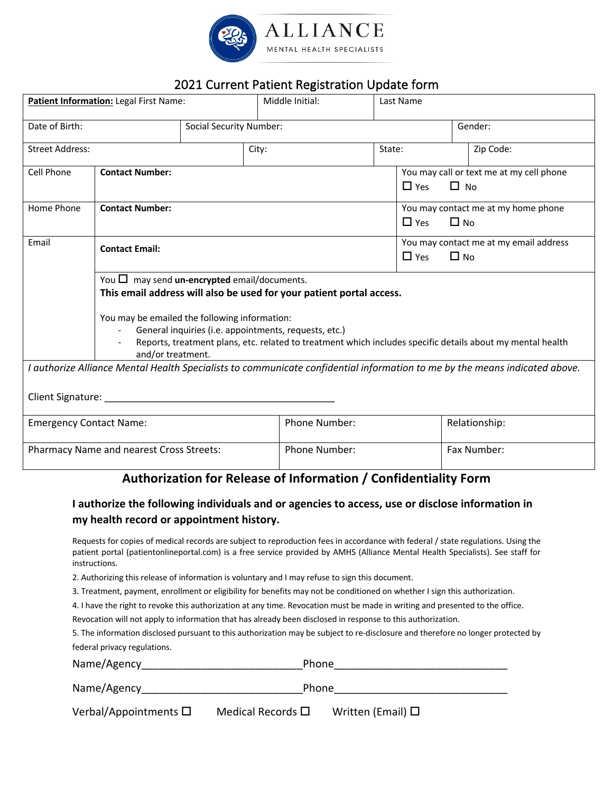

## 2021 Current Patient Registration Update form

| Patient Information: Legal First Name:                                                                                                                                                                                                                                                                                                                                 |                        |  | Middle Initial: |                                                                | Last Name                                                           |                                                                                                                            |  |
|------------------------------------------------------------------------------------------------------------------------------------------------------------------------------------------------------------------------------------------------------------------------------------------------------------------------------------------------------------------------|------------------------|--|-----------------|----------------------------------------------------------------|---------------------------------------------------------------------|----------------------------------------------------------------------------------------------------------------------------|--|
| Date of Birth:<br><b>Social Security Number:</b>                                                                                                                                                                                                                                                                                                                       |                        |  |                 |                                                                | Gender:                                                             |                                                                                                                            |  |
| <b>Street Address:</b>                                                                                                                                                                                                                                                                                                                                                 |                        |  | City:           | State:                                                         |                                                                     | Zip Code:                                                                                                                  |  |
| Cell Phone                                                                                                                                                                                                                                                                                                                                                             | <b>Contact Number:</b> |  |                 |                                                                | You may call or text me at my cell phone<br>$\Box$ No<br>$\Box$ Yes |                                                                                                                            |  |
| Home Phone                                                                                                                                                                                                                                                                                                                                                             | <b>Contact Number:</b> |  |                 | You may contact me at my home phone<br>$\Box$ No<br>$\Box$ Yes |                                                                     |                                                                                                                            |  |
| Email                                                                                                                                                                                                                                                                                                                                                                  | <b>Contact Email:</b>  |  |                 |                                                                | You may contact me at my email address<br>$\Box$ Yes<br>$\Box$ No   |                                                                                                                            |  |
| You $\Box$ may send un-encrypted email/documents.<br>This email address will also be used for your patient portal access.<br>You may be emailed the following information:<br>General inquiries (i.e. appointments, requests, etc.)<br>Reports, treatment plans, etc. related to treatment which includes specific details about my mental health<br>and/or treatment. |                        |  |                 |                                                                |                                                                     |                                                                                                                            |  |
|                                                                                                                                                                                                                                                                                                                                                                        | Client Signature:      |  |                 |                                                                |                                                                     | I authorize Alliance Mental Health Specialists to communicate confidential information to me by the means indicated above. |  |
| <b>Emergency Contact Name:</b>                                                                                                                                                                                                                                                                                                                                         |                        |  |                 | Phone Number:                                                  |                                                                     | Relationship:                                                                                                              |  |
| Pharmacy Name and nearest Cross Streets:                                                                                                                                                                                                                                                                                                                               |                        |  |                 | Phone Number:                                                  |                                                                     | Fax Number:                                                                                                                |  |
| Authorization for Release of Information / Confidentiality Form                                                                                                                                                                                                                                                                                                        |                        |  |                 |                                                                |                                                                     |                                                                                                                            |  |

### **I authorize the following individuals and or agencies to access, use or disclose information in my health record or appointment history.**

Requests for copies of medical records are subject to reproduction fees in accordance with federal / state regulations. Using the patient portal (patientonlineportal.com) is a free service provided by AMHS (Alliance Mental Health Specialists). See staff for instructions.

2. Authorizing this release of information is voluntary and I may refuse to sign this document.

3. Treatment, payment, enrollment or eligibility for benefits may not be conditioned on whether I sign this authorization.

4. I have the right to revoke this authorization at any time. Revocation must be made in writing and presented to the office.

Revocation will not apply to information that has already been disclosed in response to this authorization.

5. The information disclosed pursuant to this authorization may be subject to re-disclosure and therefore no longer protected by federal privacy regulations.

| Name/Agency                   |                           | <b>Phone</b>           |  |  |  |
|-------------------------------|---------------------------|------------------------|--|--|--|
| Name/Agency                   |                           | <b>Phone</b>           |  |  |  |
| Verbal/Appointments $\square$ | Medical Records $\square$ | Written (Email) $\Box$ |  |  |  |